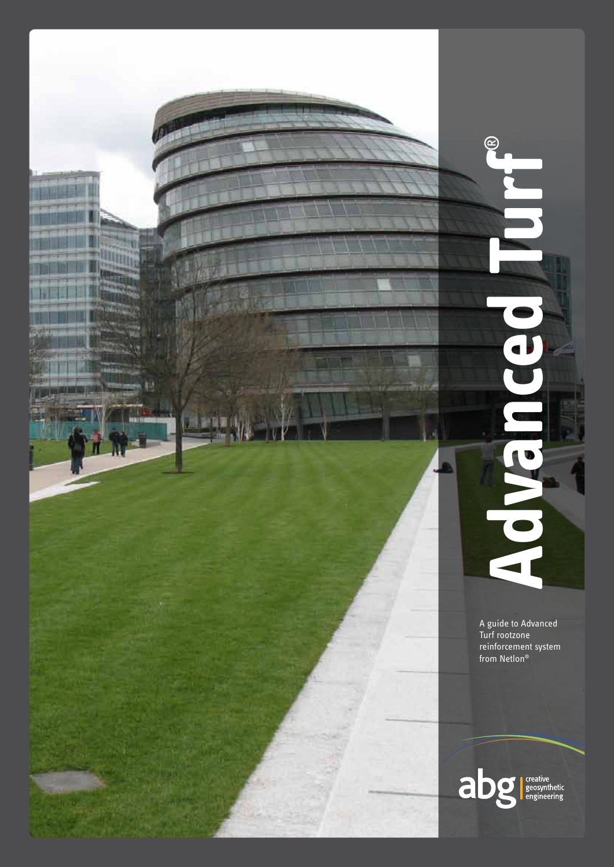

 $\blacksquare$ 

**Advanced Turf**®

J

 $\circledR$ 

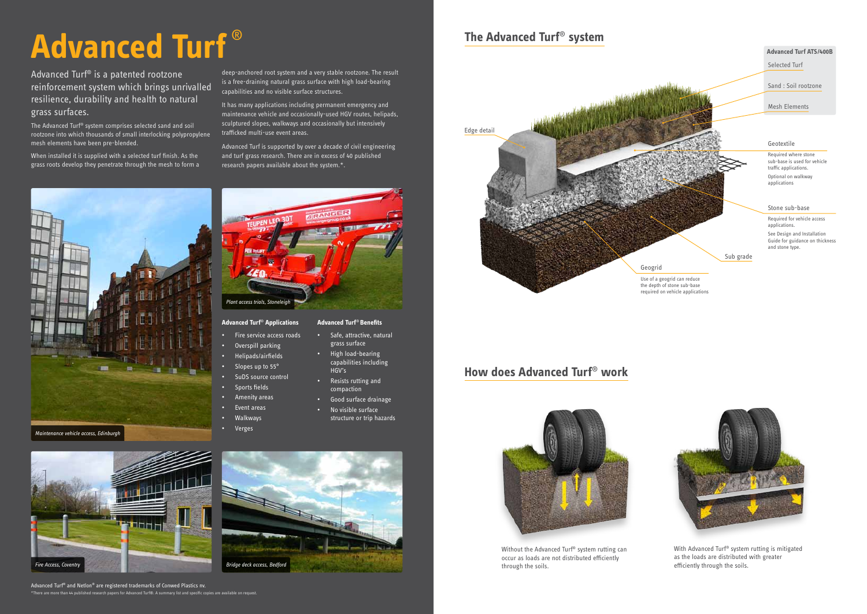# **Advanced Turf** ®

Advanced Turf® is a patented rootzone reinforcement system which brings unrivalled resilience, durability and health to natural grass surfaces.

The Advanced Turf® system comprises selected sand and soil rootzone into which thousands of small interlocking polypropylene mesh elements have been pre-blended.

When installed it is supplied with a selected turf finish. As the grass roots develop they penetrate through the mesh to form a

deep-anchored root system and a very stable rootzone. The result is a free-draining natural grass surface with high load-bearing

capabilities and no visible surface structures.

research papers available about the system.\*.

- Slopes up to 55°
- SuDS source control
- Sports fields
- Amenity areas
- Event areas
- Walkways
- Verges

It has many applications including permanent emergency and maintenance vehicle and occasionally-used HGV routes, helipads, sculptured slopes, walkways and occasionally but intensively

trafficked multi-use event areas.

Advanced Turf is supported by over a decade of civil engineering and turf grass research. There are in excess of 40 published

Advanced Turf® and Netlon® are registered trademarks of Conwed Plastics nv. \*There are more than 44 published research papers for Advanced Turf®. A summary list and specific copies are available on request.

ᄪ



# • Resists rutting and

- compaction
- 
- 



- Good surface drainage
- No visible surface structure or trip hazards

Selected Turf

Sand : Soil rootzone

Mesh Elements

#### **Advanced Turf ATS/400B**

## **The Advanced Turf**® **system**

#### Geotextile

Required where stone sub-base is used for vehicle traffic applications. Optional on walkway applications

**Advanced Turf**® **Applications** • Fire service access roads • Overspill parking • Helipads/airfields **Advanced Turf**® **Benefits** • Safe, attractive, natural grass surface *Plant access trials, Stoneleigh*

#### Stone sub-base

Required for vehicle access applications. See Design and Installation Guide for guidance on thickness and stone type.

Sub grade

Use of a geogrid can reduce the depth of stone sub-base required on vehicle applications





### **How does Advanced Turf**® **work**



Without the Advanced Turf® system rutting can occur as loads are not distributed efficiently through the soils.

With Advanced Turf® system rutting is mitigated as the loads are distributed with greater